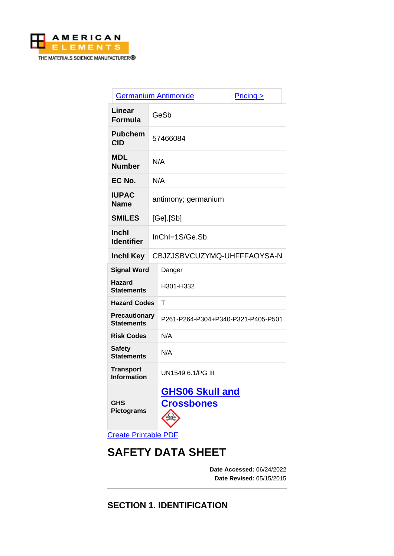

|                                           |                             | <b>Germanium Antimonide</b>                 | $Pricing \ge$ |
|-------------------------------------------|-----------------------------|---------------------------------------------|---------------|
| Linear<br>Formula                         | GeSb                        |                                             |               |
| <b>Pubchem</b><br><b>CID</b>              | 57466084                    |                                             |               |
| MDL<br><b>Number</b>                      | N/A                         |                                             |               |
| EC No.                                    | N/A                         |                                             |               |
| <b>IUPAC</b><br>Name                      | antimony; germanium         |                                             |               |
| <b>SMILES</b>                             | $[Ge]$ . $[Sb]$             |                                             |               |
| <b>Inchl</b><br><b>Identifier</b>         | InChI=1S/Ge.Sb              |                                             |               |
| <b>Inchl Key</b>                          | CBJZJSBVCUZYMQ-UHFFFAOYSA-N |                                             |               |
| <b>Signal Word</b>                        |                             | Danger                                      |               |
| <b>Hazard</b><br><b>Statements</b>        |                             | H301-H332                                   |               |
| <b>Hazard Codes</b>                       |                             | T                                           |               |
| <b>Precautionary</b><br><b>Statements</b> |                             | P261-P264-P304+P340-P321-P405-P501          |               |
| <b>Risk Codes</b>                         |                             | N/A                                         |               |
| <b>Safety</b><br><b>Statements</b>        |                             | N/A                                         |               |
| <b>Transport</b><br><b>Information</b>    |                             | UN1549 6.1/PG III                           |               |
| <b>GHS</b><br><b>Pictograms</b>           |                             | <b>GHS06 Skull and</b><br><b>Crossbones</b> |               |

[Create Printable PDF](https://www.americanelements.com/printpdf/cas/12299-73-9/sds)

# **SAFETY DATA SHEET**

**Date Accessed:** 06/24/2022 **Date Revised:** 05/15/2015

**SECTION 1. IDENTIFICATION**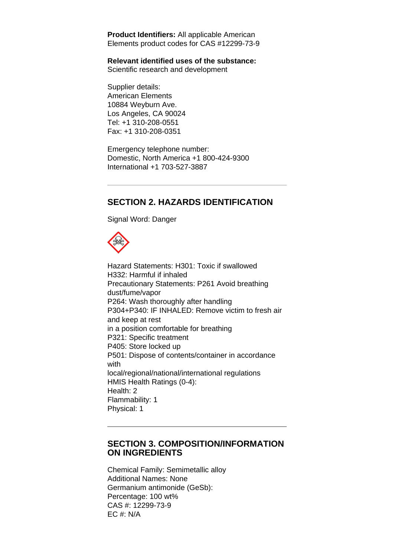**Product Identifiers:** All applicable American Elements product codes for CAS #12299-73-9

#### **Relevant identified uses of the substance:**

Scientific research and development

Supplier details: American Elements 10884 Weyburn Ave. Los Angeles, CA 90024 Tel: +1 310-208-0551 Fax: +1 310-208-0351

Emergency telephone number: Domestic, North America +1 800-424-9300 International +1 703-527-3887

# **SECTION 2. HAZARDS IDENTIFICATION**

Signal Word: Danger



Hazard Statements: H301: Toxic if swallowed H332: Harmful if inhaled Precautionary Statements: P261 Avoid breathing dust/fume/vapor P264: Wash thoroughly after handling P304+P340: IF INHALED: Remove victim to fresh air and keep at rest in a position comfortable for breathing P321: Specific treatment P405: Store locked up P501: Dispose of contents/container in accordance with local/regional/national/international regulations HMIS Health Ratings (0-4): Health: 2 Flammability: 1 Physical: 1

#### **SECTION 3. COMPOSITION/INFORMATION ON INGREDIENTS**

Chemical Family: Semimetallic alloy Additional Names: None Germanium antimonide (GeSb): Percentage: 100 wt% CAS #: 12299-73-9 EC #: N/A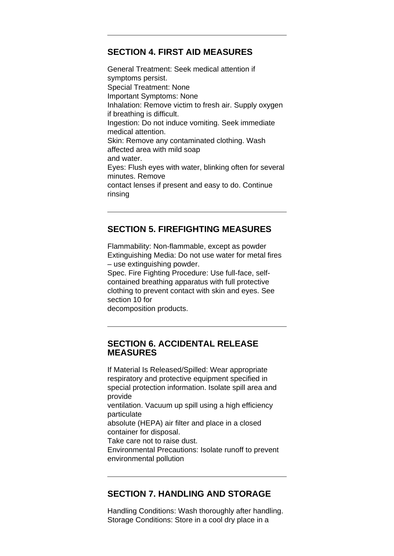# **SECTION 4. FIRST AID MEASURES**

General Treatment: Seek medical attention if symptoms persist. Special Treatment: None Important Symptoms: None Inhalation: Remove victim to fresh air. Supply oxygen if breathing is difficult. Ingestion: Do not induce vomiting. Seek immediate medical attention. Skin: Remove any contaminated clothing. Wash affected area with mild soap and water. Eyes: Flush eyes with water, blinking often for several minutes. Remove contact lenses if present and easy to do. Continue rinsing

# **SECTION 5. FIREFIGHTING MEASURES**

Flammability: Non-flammable, except as powder Extinguishing Media: Do not use water for metal fires – use extinguishing powder.

Spec. Fire Fighting Procedure: Use full-face, selfcontained breathing apparatus with full protective clothing to prevent contact with skin and eyes. See section 10 for

decomposition products.

#### **SECTION 6. ACCIDENTAL RELEASE MEASURES**

If Material Is Released/Spilled: Wear appropriate respiratory and protective equipment specified in special protection information. Isolate spill area and provide ventilation. Vacuum up spill using a high efficiency particulate absolute (HEPA) air filter and place in a closed container for disposal. Take care not to raise dust. Environmental Precautions: Isolate runoff to prevent environmental pollution

#### **SECTION 7. HANDLING AND STORAGE**

Handling Conditions: Wash thoroughly after handling. Storage Conditions: Store in a cool dry place in a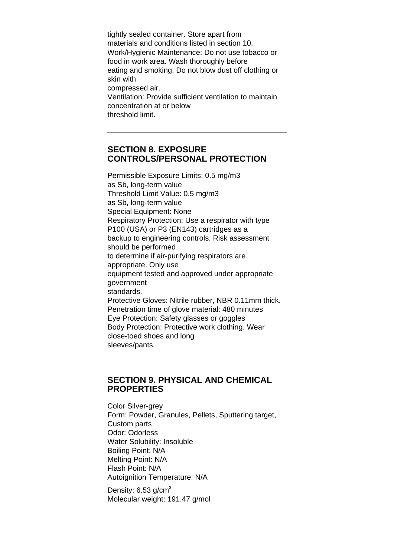tightly sealed container. Store apart from materials and conditions listed in section 10. Work/Hygienic Maintenance: Do not use tobacco or food in work area. Wash thoroughly before eating and smoking. Do not blow dust off clothing or skin with compressed air. Ventilation: Provide sufficient ventilation to maintain concentration at or below threshold limit.

### **SECTION 8. EXPOSURE CONTROLS/PERSONAL PROTECTION**

Permissible Exposure Limits: 0.5 mg/m3 as Sb, long-term value Threshold Limit Value: 0.5 mg/m3 as Sb, long-term value Special Equipment: None Respiratory Protection: Use a respirator with type P100 (USA) or P3 (EN143) cartridges as a backup to engineering controls. Risk assessment should be performed to determine if air-purifying respirators are appropriate. Only use equipment tested and approved under appropriate government standards. Protective Gloves: Nitrile rubber, NBR 0.11mm thick. Penetration time of glove material: 480 minutes Eye Protection: Safety glasses or goggles Body Protection: Protective work clothing. Wear close-toed shoes and long sleeves/pants.

#### **SECTION 9. PHYSICAL AND CHEMICAL PROPERTIES**

Color Silver-grey Form: Powder, Granules, Pellets, Sputtering target, Custom parts Odor: Odorless Water Solubility: Insoluble Boiling Point: N/A Melting Point: N/A Flash Point: N/A Autoignition Temperature: N/A

Density:  $6.53$  g/cm<sup>3</sup> Molecular weight: 191.47 g/mol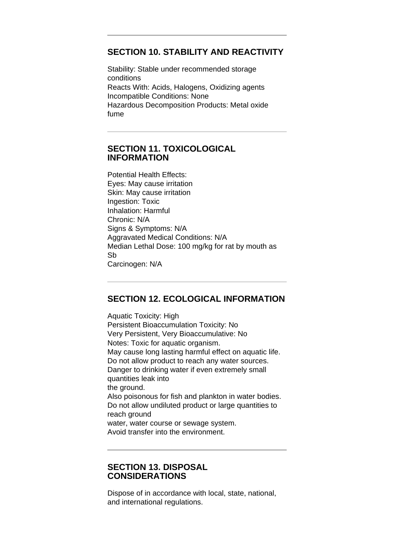#### **SECTION 10. STABILITY AND REACTIVITY**

Stability: Stable under recommended storage conditions Reacts With: Acids, Halogens, Oxidizing agents Incompatible Conditions: None Hazardous Decomposition Products: Metal oxide fume

### **SECTION 11. TOXICOLOGICAL INFORMATION**

Potential Health Effects: Eyes: May cause irritation Skin: May cause irritation Ingestion: Toxic Inhalation: Harmful Chronic: N/A Signs & Symptoms: N/A Aggravated Medical Conditions: N/A Median Lethal Dose: 100 mg/kg for rat by mouth as Sb Carcinogen: N/A

## **SECTION 12. ECOLOGICAL INFORMATION**

Aquatic Toxicity: High Persistent Bioaccumulation Toxicity: No Very Persistent, Very Bioaccumulative: No Notes: Toxic for aquatic organism. May cause long lasting harmful effect on aquatic life. Do not allow product to reach any water sources. Danger to drinking water if even extremely small quantities leak into the ground. Also poisonous for fish and plankton in water bodies. Do not allow undiluted product or large quantities to reach ground water, water course or sewage system. Avoid transfer into the environment.

#### **SECTION 13. DISPOSAL CONSIDERATIONS**

Dispose of in accordance with local, state, national, and international regulations.